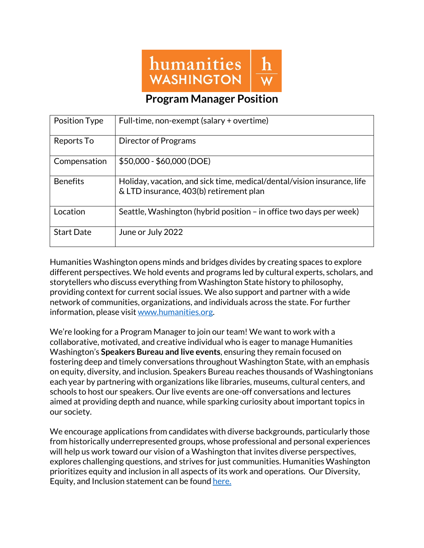

### **Program Manager Position**

| Position Type     | Full-time, non-exempt (salary + overtime)                                                                          |
|-------------------|--------------------------------------------------------------------------------------------------------------------|
| Reports To        | Director of Programs                                                                                               |
| Compensation      | $$50,000 - $60,000$ (DOE)                                                                                          |
| <b>Benefits</b>   | Holiday, vacation, and sick time, medical/dental/vision insurance, life<br>& LTD insurance, 403(b) retirement plan |
| Location          | Seattle, Washington (hybrid position - in office two days per week)                                                |
| <b>Start Date</b> | June or July 2022                                                                                                  |

Humanities Washington opens minds and bridges divides by creating spaces to explore different perspectives. We hold events and programs led by cultural experts, scholars, and storytellers who discuss everything from Washington State history to philosophy, providing context for current social issues. We also support and partner with a wide network of communities, organizations, and individuals across the state. For further information, please visit www.humanities.org.

We're looking for a Program Manager to join our team! We want to work with a collaborative, motivated, and creative individual who is eager to manage Humanities Washington's **Speakers Bureau and live events**, ensuring they remain focused on fostering deep and timely conversations throughout Washington State, with an emphasis on equity, diversity, and inclusion. Speakers Bureau reaches thousands of Washingtonians each year by partnering with organizations like libraries, museums, cultural centers, and schools to host our speakers. Our live events are one-off conversations and lectures aimed at providing depth and nuance, while sparking curiosity about important topics in our society.

We encourage applications from candidates with diverse backgrounds, particularly those from historically underrepresented groups, whose professional and personal experiences will help us work toward our vision of a Washington that invites diverse perspectives, explores challenging questions, and strives for just communities. Humanities Washington prioritizes equity and inclusion in all aspects of its work and operations. Our Diversity, Equity, and Inclusion statement can be found here.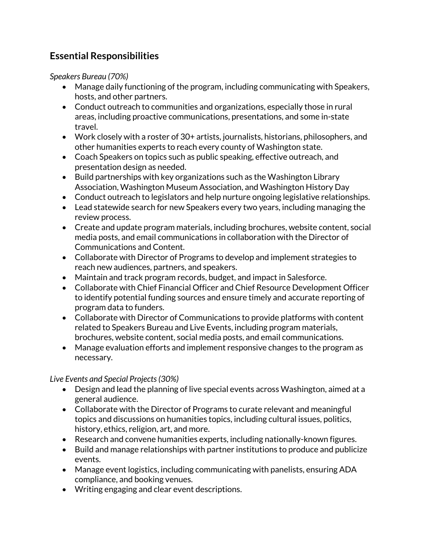# **Essential Responsibilities**

*Speakers Bureau (70%)*

- Manage daily functioning of the program, including communicating with Speakers, hosts, and other partners.
- Conduct outreach to communities and organizations, especially those in rural areas, including proactive communications, presentations, and some in-state travel.
- Work closely with a roster of 30+ artists, journalists, historians, philosophers, and other humanities experts to reach every county of Washington state.
- Coach Speakers on topics such as public speaking, effective outreach, and presentation design as needed.
- Build partnerships with key organizations such as the Washington Library Association, Washington Museum Association, and Washington History Day
- Conduct outreach to legislators and help nurture ongoing legislative relationships.
- Lead statewide search for new Speakers every two years, including managing the review process.
- Create and update program materials, including brochures, website content, social media posts, and email communications in collaboration with the Director of Communications and Content.
- Collaborate with Director of Programs to develop and implement strategies to reach new audiences, partners, and speakers.
- Maintain and track program records, budget, and impact in Salesforce.
- Collaborate with Chief Financial Officer and Chief Resource Development Officer to identify potential funding sources and ensure timely and accurate reporting of program data to funders.
- Collaborate with Director of Communications to provide platforms with content related to Speakers Bureau and Live Events, including program materials, brochures, website content, social media posts, and email communications.
- Manage evaluation efforts and implement responsive changes to the program as necessary.

#### *Live Events and Special Projects(30%)*

- Design and lead the planning of live special events across Washington, aimed at a general audience.
- Collaborate with the Director of Programs to curate relevant and meaningful topics and discussions on humanities topics, including cultural issues, politics, history, ethics, religion, art, and more.
- Research and convene humanities experts, including nationally-known figures.
- Build and manage relationships with partner institutions to produce and publicize events.
- Manage event logistics, including communicating with panelists, ensuring ADA compliance, and booking venues.
- Writing engaging and clear event descriptions.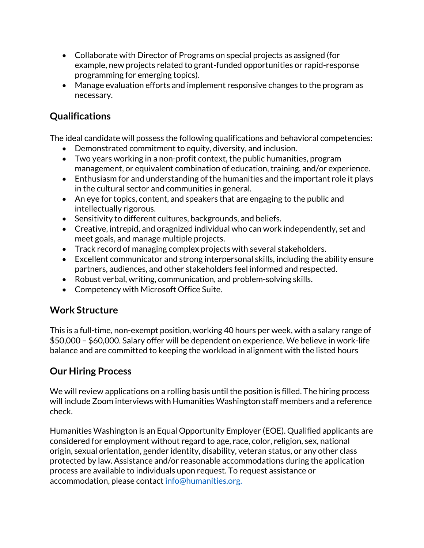- Collaborate with Director of Programs on special projects as assigned (for example, new projects related to grant-funded opportunities or rapid-response programming for emerging topics).
- Manage evaluation efforts and implement responsive changes to the program as necessary.

## **Qualifications**

The ideal candidate will possess the following qualifications and behavioral competencies:

- Demonstrated commitment to equity, diversity, and inclusion.
- Two years working in a non-profit context, the public humanities, program management, or equivalent combination of education, training, and/or experience.
- Enthusiasm for and understanding of the humanities and the important role it plays in the cultural sector and communities in general.
- An eye for topics, content, and speakers that are engaging to the public and intellectually rigorous.
- Sensitivity to different cultures, backgrounds, and beliefs.
- Creative, intrepid, and oragnized individual who can work independently, set and meet goals, and manage multiple projects.
- Track record of managing complex projects with several stakeholders.
- Excellent communicator and strong interpersonal skills, including the ability ensure partners, audiences, and other stakeholders feel informed and respected.
- Robust verbal, writing, communication, and problem-solving skills.
- Competency with Microsoft Office Suite.

## **Work Structure**

This is a full-time, non-exempt position, working 40 hours per week, with a salary range of \$50,000 – \$60,000. Salary offer will be dependent on experience. We believe in work-life balance and are committed to keeping the workload in alignment with the listed hours

## **Our Hiring Process**

We will review applications on a rolling basis until the position is filled. The hiring process will include Zoom interviews with Humanities Washington staff members and a reference check.

Humanities Washington is an Equal Opportunity Employer (EOE). Qualified applicants are considered for employment without regard to age, race, color, religion, sex, national origin, sexual orientation, gender identity, disability, veteran status, or any other class protected by law. Assistance and/or reasonable accommodations during the application process are available to individuals upon request. To request assistance or accommodation, please contact info@humanities.org.